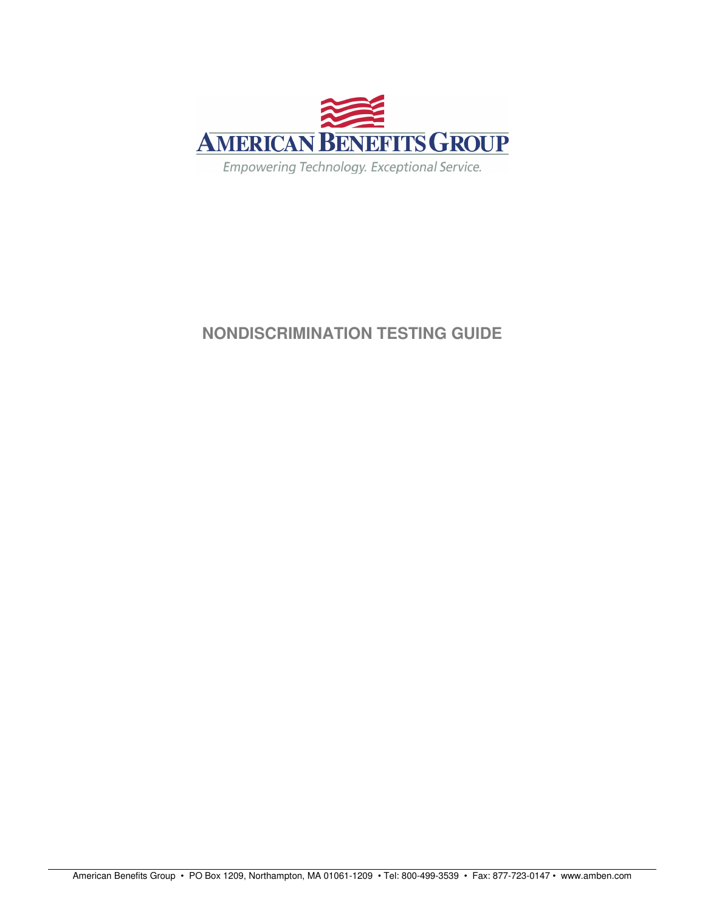

# **NONDISCRIMINATION TESTING GUIDE**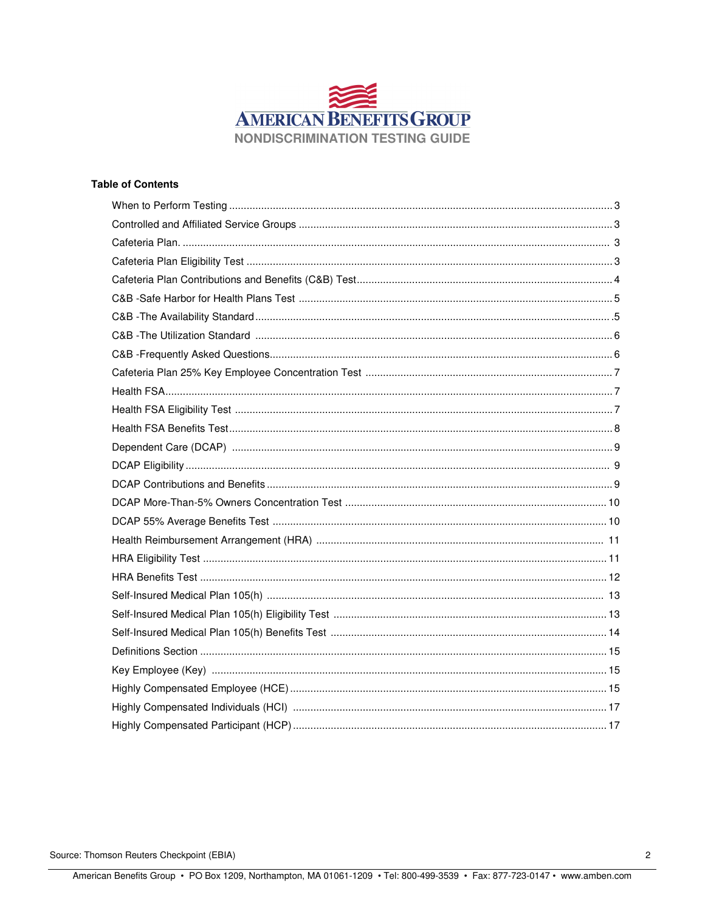

# **Table of Contents**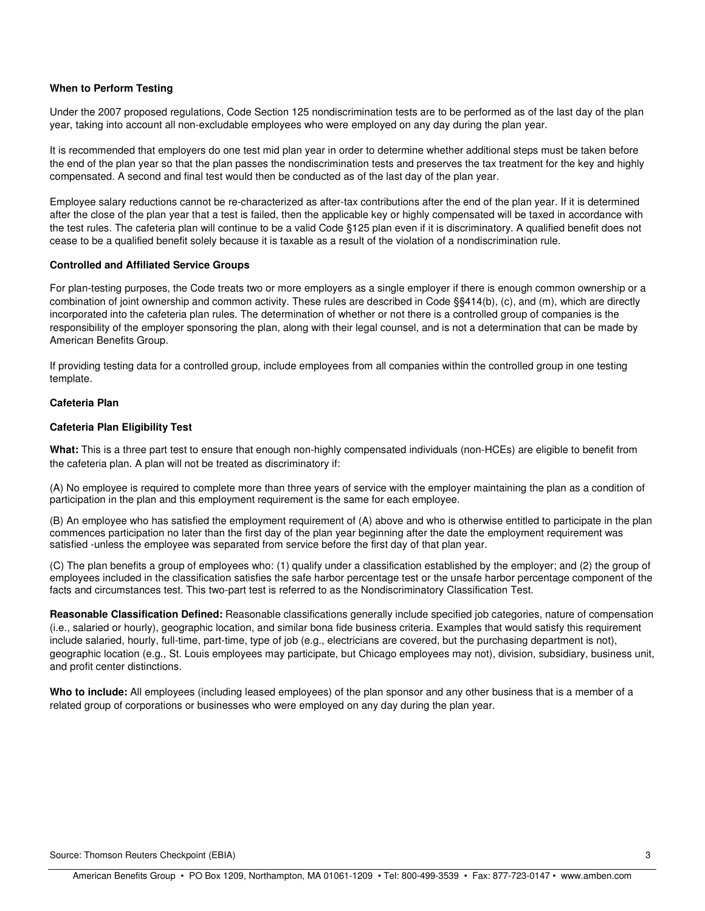# **When to Perform Testing**

Under the 2007 proposed regulations, Code Section 125 nondiscrimination tests are to be performed as of the last day of the plan year, taking into account all non-excludable employees who were employed on any day during the plan year.

It is recommended that employers do one test mid plan year in order to determine whether additional steps must be taken before the end of the plan year so that the plan passes the nondiscrimination tests and preserves the tax treatment for the key and highly compensated. A second and final test would then be conducted as of the last day of the plan year.

Employee salary reductions cannot be re-characterized as after-tax contributions after the end of the plan year. If it is determined after the close of the plan year that a test is failed, then the applicable key or highly compensated will be taxed in accordance with the test rules. The cafeteria plan will continue to be a valid Code §125 plan even if it is discriminatory. A qualified benefit does not cease to be a qualified benefit solely because it is taxable as a result of the violation of a nondiscrimination rule.

#### **Controlled and Affiliated Service Groups**

For plan-testing purposes, the Code treats two or more employers as a single employer if there is enough common ownership or a combination of joint ownership and common activity. These rules are described in Code §§414(b), (c), and (m), which are directly incorporated into the cafeteria plan rules. The determination of whether or not there is a controlled group of companies is the responsibility of the employer sponsoring the plan, along with their legal counsel, and is not a determination that can be made by American Benefits Group.

If providing testing data for a controlled group, include employees from all companies within the controlled group in one testing template.

#### **Cafeteria Plan**

#### **Cafeteria Plan Eligibility Test**

**What:** This is a three part test to ensure that enough non-highly compensated individuals (non-HCEs) are eligible to benefit from the cafeteria plan. A plan will not be treated as discriminatory if:

(A) No employee is required to complete more than three years of service with the employer maintaining the plan as a condition of participation in the plan and this employment requirement is the same for each employee.

(B) An employee who has satisfied the employment requirement of (A) above and who is otherwise entitled to participate in the plan commences participation no later than the first day of the plan year beginning after the date the employment requirement was satisfied -unless the employee was separated from service before the first day of that plan year.

(C) The plan benefits a group of employees who: (1) qualify under a classification established by the employer; and (2) the group of employees included in the classification satisfies the safe harbor percentage test or the unsafe harbor percentage component of the facts and circumstances test. This two-part test is referred to as the Nondiscriminatory Classification Test.

**Reasonable Classification Defined:** Reasonable classifications generally include specified job categories, nature of compensation (i.e., salaried or hourly), geographic location, and similar bona fide business criteria. Examples that would satisfy this requirement include salaried, hourly, full-time, part-time, type of job (e.g., electricians are covered, but the purchasing department is not), geographic location (e.g., St. Louis employees may participate, but Chicago employees may not), division, subsidiary, business unit, and profit center distinctions.

**Who to include:** All employees (including leased employees) of the plan sponsor and any other business that is a member of a related group of corporations or businesses who were employed on any day during the plan year.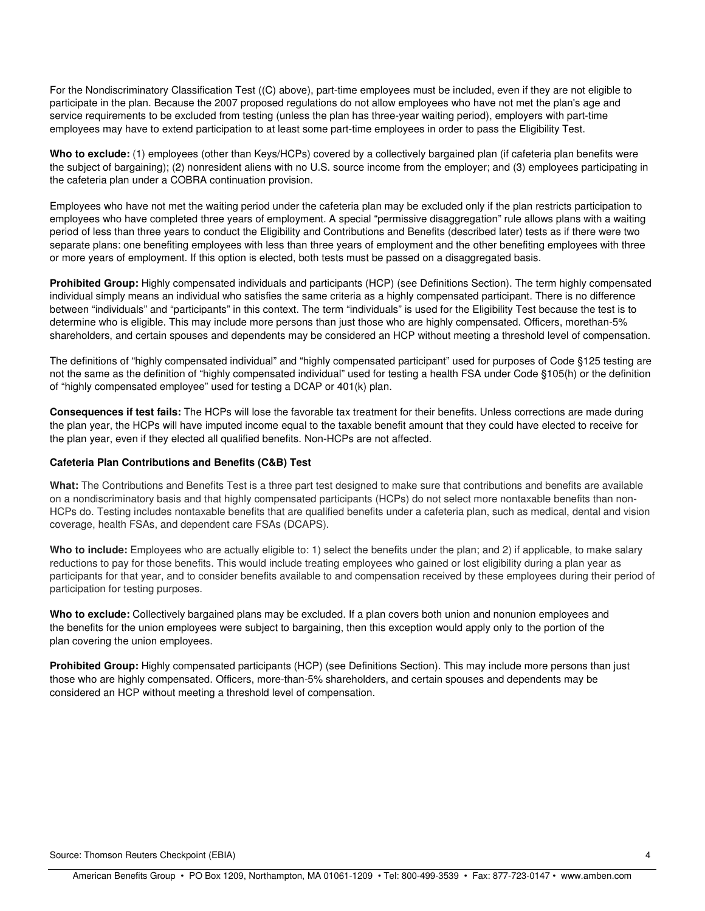For the Nondiscriminatory Classification Test ((C) above), part-time employees must be included, even if they are not eligible to participate in the plan. Because the 2007 proposed regulations do not allow employees who have not met the plan's age and service requirements to be excluded from testing (unless the plan has three-year waiting period), employers with part-time employees may have to extend participation to at least some part-time employees in order to pass the Eligibility Test.

**Who to exclude:** (1) employees (other than Keys/HCPs) covered by a collectively bargained plan (if cafeteria plan benefits were the subject of bargaining); (2) nonresident aliens with no U.S. source income from the employer; and (3) employees participating in the cafeteria plan under a COBRA continuation provision.

Employees who have not met the waiting period under the cafeteria plan may be excluded only if the plan restricts participation to employees who have completed three years of employment. A special "permissive disaggregation" rule allows plans with a waiting period of less than three years to conduct the Eligibility and Contributions and Benefits (described later) tests as if there were two separate plans: one benefiting employees with less than three years of employment and the other benefiting employees with three or more years of employment. If this option is elected, both tests must be passed on a disaggregated basis.

**Prohibited Group:** Highly compensated individuals and participants (HCP) (see Definitions Section). The term highly compensated individual simply means an individual who satisfies the same criteria as a highly compensated participant. There is no difference between "individuals" and "participants" in this context. The term "individuals" is used for the Eligibility Test because the test is to determine who is eligible. This may include more persons than just those who are highly compensated. Officers, morethan-5% shareholders, and certain spouses and dependents may be considered an HCP without meeting a threshold level of compensation.

The definitions of "highly compensated individual" and "highly compensated participant" used for purposes of Code §125 testing are not the same as the definition of "highly compensated individual" used for testing a health FSA under Code §105(h) or the definition of "highly compensated employee" used for testing a DCAP or 401(k) plan.

**Consequences if test fails:** The HCPs will lose the favorable tax treatment for their benefits. Unless corrections are made during the plan year, the HCPs will have imputed income equal to the taxable benefit amount that they could have elected to receive for the plan year, even if they elected all qualified benefits. Non-HCPs are not affected.

# **Cafeteria Plan Contributions and Benefits (C&B) Test**

**What:** The Contributions and Benefits Test is a three part test designed to make sure that contributions and benefits are available on a nondiscriminatory basis and that highly compensated participants (HCPs) do not select more nontaxable benefits than non-HCPs do. Testing includes nontaxable benefits that are qualified benefits under a cafeteria plan, such as medical, dental and vision coverage, health FSAs, and dependent care FSAs (DCAPS).

**Who to include:** Employees who are actually eligible to: 1) select the benefits under the plan; and 2) if applicable, to make salary reductions to pay for those benefits. This would include treating employees who gained or lost eligibility during a plan year as participants for that year, and to consider benefits available to and compensation received by these employees during their period of participation for testing purposes.

**Who to exclude:** Collectively bargained plans may be excluded. If a plan covers both union and nonunion employees and the benefits for the union employees were subject to bargaining, then this exception would apply only to the portion of the plan covering the union employees.

**Prohibited Group:** Highly compensated participants (HCP) (see Definitions Section). This may include more persons than just those who are highly compensated. Officers, more-than-5% shareholders, and certain spouses and dependents may be considered an HCP without meeting a threshold level of compensation.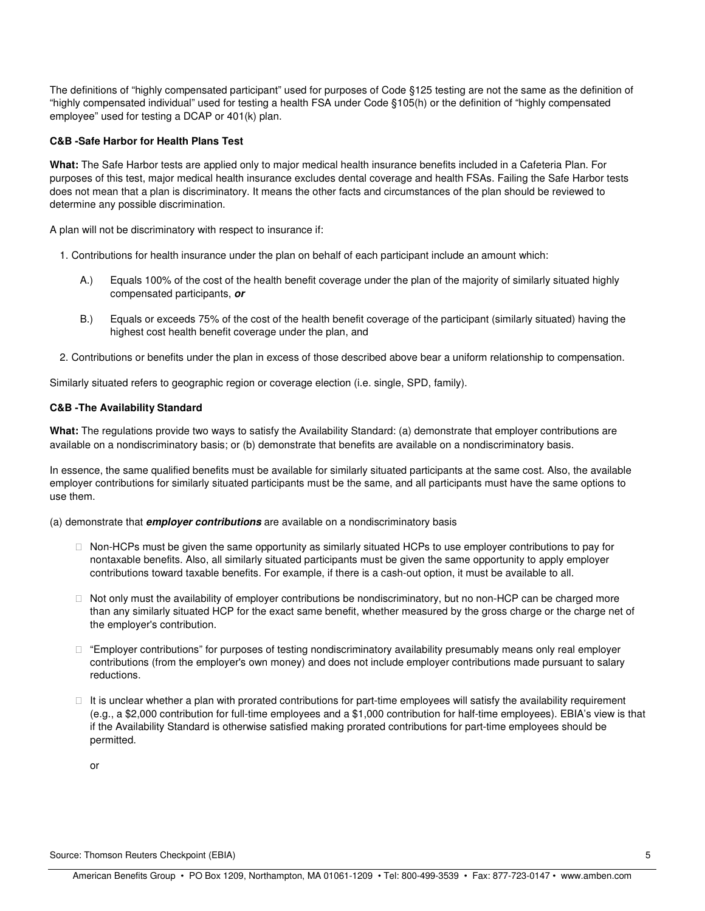The definitions of "highly compensated participant" used for purposes of Code §125 testing are not the same as the definition of "highly compensated individual" used for testing a health FSA under Code §105(h) or the definition of "highly compensated employee" used for testing a DCAP or 401(k) plan.

#### **C&B -Safe Harbor for Health Plans Test**

**What:** The Safe Harbor tests are applied only to major medical health insurance benefits included in a Cafeteria Plan. For purposes of this test, major medical health insurance excludes dental coverage and health FSAs. Failing the Safe Harbor tests does not mean that a plan is discriminatory. It means the other facts and circumstances of the plan should be reviewed to determine any possible discrimination.

A plan will not be discriminatory with respect to insurance if:

- 1. Contributions for health insurance under the plan on behalf of each participant include an amount which:
	- A.) Equals 100% of the cost of the health benefit coverage under the plan of the majority of similarly situated highly compensated participants, **or**
	- B.) Equals or exceeds 75% of the cost of the health benefit coverage of the participant (similarly situated) having the highest cost health benefit coverage under the plan, and
- 2. Contributions or benefits under the plan in excess of those described above bear a uniform relationship to compensation.

Similarly situated refers to geographic region or coverage election (i.e. single, SPD, family).

# **C&B -The Availability Standard**

**What:** The regulations provide two ways to satisfy the Availability Standard: (a) demonstrate that employer contributions are available on a nondiscriminatory basis; or (b) demonstrate that benefits are available on a nondiscriminatory basis.

In essence, the same qualified benefits must be available for similarly situated participants at the same cost. Also, the available employer contributions for similarly situated participants must be the same, and all participants must have the same options to use them.

(a) demonstrate that **employer contributions** are available on a nondiscriminatory basis

 Non-HCPs must be given the same opportunity as similarly situated HCPs to use employer contributions to pay for nontaxable benefits. Also, all similarly situated participants must be given the same opportunity to apply employer contributions toward taxable benefits. For example, if there is a cash-out option, it must be available to all.

 Not only must the availability of employer contributions be nondiscriminatory, but no non-HCP can be charged more than any similarly situated HCP for the exact same benefit, whether measured by the gross charge or the charge net of the employer's contribution.

 "Employer contributions" for purposes of testing nondiscriminatory availability presumably means only real employer contributions (from the employer's own money) and does not include employer contributions made pursuant to salary reductions.

 It is unclear whether a plan with prorated contributions for part-time employees will satisfy the availability requirement (e.g., a \$2,000 contribution for full-time employees and a \$1,000 contribution for half-time employees). EBIA's view is that if the Availability Standard is otherwise satisfied making prorated contributions for part-time employees should be permitted.

or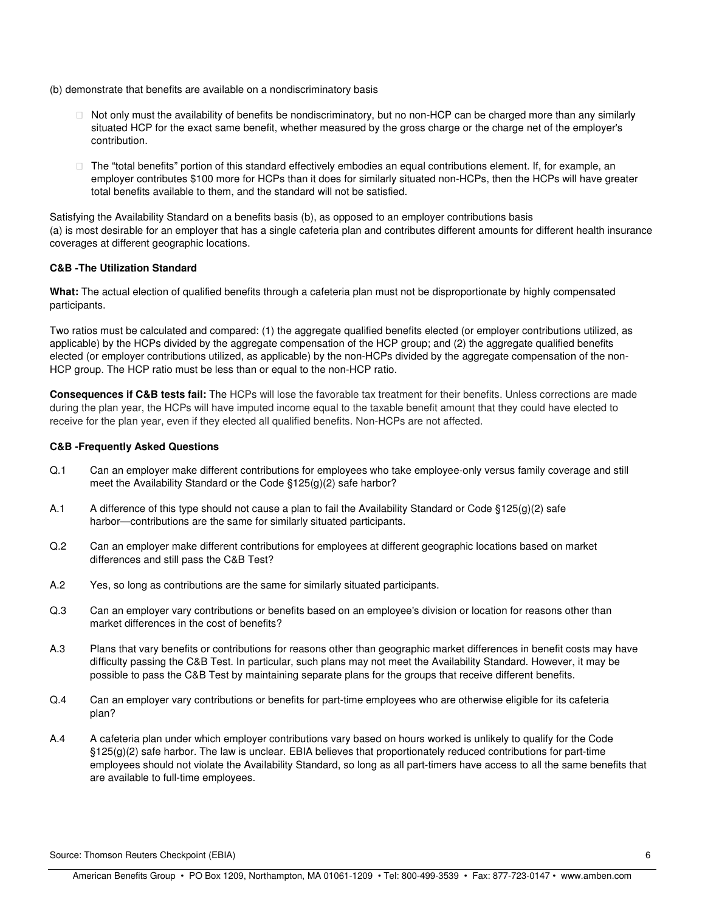(b) demonstrate that benefits are available on a nondiscriminatory basis

 Not only must the availability of benefits be nondiscriminatory, but no non-HCP can be charged more than any similarly situated HCP for the exact same benefit, whether measured by the gross charge or the charge net of the employer's contribution.

 The "total benefits" portion of this standard effectively embodies an equal contributions element. If, for example, an employer contributes \$100 more for HCPs than it does for similarly situated non-HCPs, then the HCPs will have greater total benefits available to them, and the standard will not be satisfied.

Satisfying the Availability Standard on a benefits basis (b), as opposed to an employer contributions basis (a) is most desirable for an employer that has a single cafeteria plan and contributes different amounts for different health insurance coverages at different geographic locations.

# **C&B -The Utilization Standard**

**What:** The actual election of qualified benefits through a cafeteria plan must not be disproportionate by highly compensated participants.

Two ratios must be calculated and compared: (1) the aggregate qualified benefits elected (or employer contributions utilized, as applicable) by the HCPs divided by the aggregate compensation of the HCP group; and (2) the aggregate qualified benefits elected (or employer contributions utilized, as applicable) by the non-HCPs divided by the aggregate compensation of the non-HCP group. The HCP ratio must be less than or equal to the non-HCP ratio.

**Consequences if C&B tests fail:** The HCPs will lose the favorable tax treatment for their benefits. Unless corrections are made during the plan year, the HCPs will have imputed income equal to the taxable benefit amount that they could have elected to receive for the plan year, even if they elected all qualified benefits. Non-HCPs are not affected.

# **C&B -Frequently Asked Questions**

- Q.1 Can an employer make different contributions for employees who take employee-only versus family coverage and still meet the Availability Standard or the Code §125(g)(2) safe harbor?
- A.1 A difference of this type should not cause a plan to fail the Availability Standard or Code §125(g)(2) safe harbor—contributions are the same for similarly situated participants.
- Q.2 Can an employer make different contributions for employees at different geographic locations based on market differences and still pass the C&B Test?
- A.2 Yes, so long as contributions are the same for similarly situated participants.
- Q.3 Can an employer vary contributions or benefits based on an employee's division or location for reasons other than market differences in the cost of benefits?
- A.3 Plans that vary benefits or contributions for reasons other than geographic market differences in benefit costs may have difficulty passing the C&B Test. In particular, such plans may not meet the Availability Standard. However, it may be possible to pass the C&B Test by maintaining separate plans for the groups that receive different benefits.
- Q.4 Can an employer vary contributions or benefits for part-time employees who are otherwise eligible for its cafeteria plan?
- A.4 A cafeteria plan under which employer contributions vary based on hours worked is unlikely to qualify for the Code §125(g)(2) safe harbor. The law is unclear. EBIA believes that proportionately reduced contributions for part-time employees should not violate the Availability Standard, so long as all part-timers have access to all the same benefits that are available to full-time employees.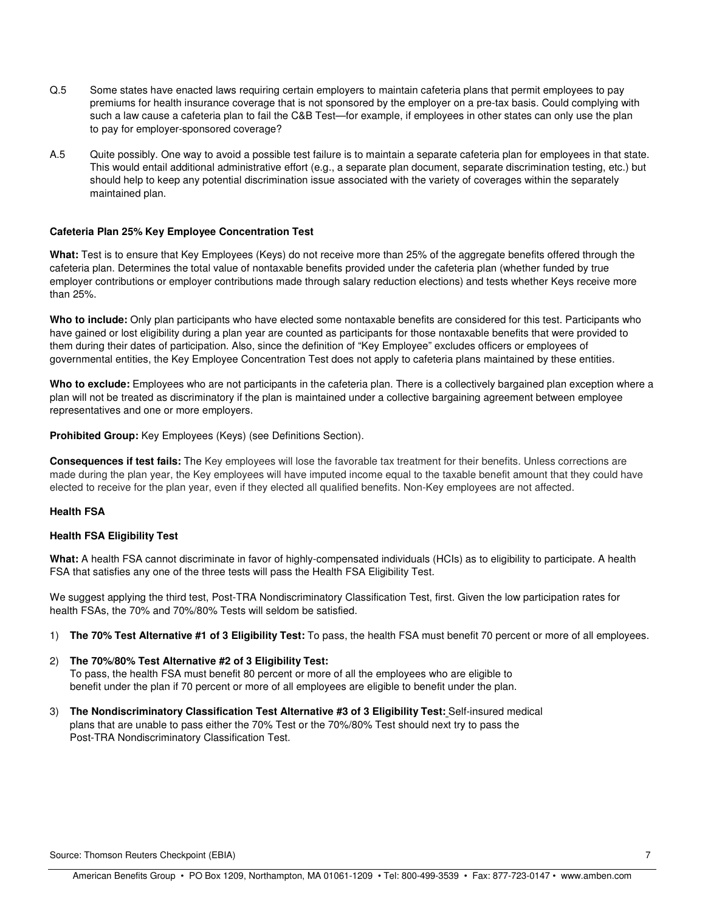- Q.5 Some states have enacted laws requiring certain employers to maintain cafeteria plans that permit employees to pay premiums for health insurance coverage that is not sponsored by the employer on a pre-tax basis. Could complying with such a law cause a cafeteria plan to fail the C&B Test—for example, if employees in other states can only use the plan to pay for employer-sponsored coverage?
- A.5 Quite possibly. One way to avoid a possible test failure is to maintain a separate cafeteria plan for employees in that state. This would entail additional administrative effort (e.g., a separate plan document, separate discrimination testing, etc.) but should help to keep any potential discrimination issue associated with the variety of coverages within the separately maintained plan.

#### **Cafeteria Plan 25% Key Employee Concentration Test**

**What:** Test is to ensure that Key Employees (Keys) do not receive more than 25% of the aggregate benefits offered through the cafeteria plan. Determines the total value of nontaxable benefits provided under the cafeteria plan (whether funded by true employer contributions or employer contributions made through salary reduction elections) and tests whether Keys receive more than 25%.

**Who to include:** Only plan participants who have elected some nontaxable benefits are considered for this test. Participants who have gained or lost eligibility during a plan year are counted as participants for those nontaxable benefits that were provided to them during their dates of participation. Also, since the definition of "Key Employee" excludes officers or employees of governmental entities, the Key Employee Concentration Test does not apply to cafeteria plans maintained by these entities.

**Who to exclude:** Employees who are not participants in the cafeteria plan. There is a collectively bargained plan exception where a plan will not be treated as discriminatory if the plan is maintained under a collective bargaining agreement between employee representatives and one or more employers.

**Prohibited Group:** Key Employees (Keys) (see Definitions Section).

**Consequences if test fails:** The Key employees will lose the favorable tax treatment for their benefits. Unless corrections are made during the plan year, the Key employees will have imputed income equal to the taxable benefit amount that they could have elected to receive for the plan year, even if they elected all qualified benefits. Non-Key employees are not affected.

#### **Health FSA**

#### **Health FSA Eligibility Test**

**What:** A health FSA cannot discriminate in favor of highly-compensated individuals (HCIs) as to eligibility to participate. A health FSA that satisfies any one of the three tests will pass the Health FSA Eligibility Test.

We suggest applying the third test, Post-TRA Nondiscriminatory Classification Test, first. Given the low participation rates for health FSAs, the 70% and 70%/80% Tests will seldom be satisfied.

- 1) **The 70% Test Alternative #1 of 3 Eligibility Test:** To pass, the health FSA must benefit 70 percent or more of all employees.
- 2) **The 70%/80% Test Alternative #2 of 3 Eligibility Test:** To pass, the health FSA must benefit 80 percent or more of all the employees who are eligible to benefit under the plan if 70 percent or more of all employees are eligible to benefit under the plan.
- 3) **The Nondiscriminatory Classification Test Alternative #3 of 3 Eligibility Test:** Self-insured medical plans that are unable to pass either the 70% Test or the 70%/80% Test should next try to pass the Post-TRA Nondiscriminatory Classification Test.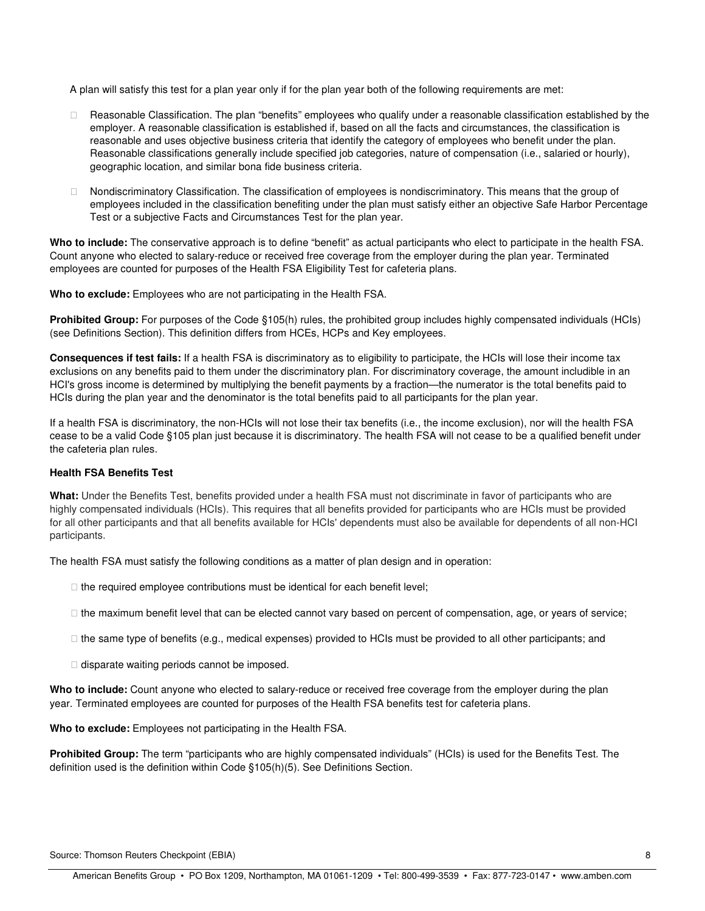A plan will satisfy this test for a plan year only if for the plan year both of the following requirements are met:

 Reasonable Classification. The plan "benefits" employees who qualify under a reasonable classification established by the employer. A reasonable classification is established if, based on all the facts and circumstances, the classification is reasonable and uses objective business criteria that identify the category of employees who benefit under the plan. Reasonable classifications generally include specified job categories, nature of compensation (i.e., salaried or hourly), geographic location, and similar bona fide business criteria.

 Nondiscriminatory Classification. The classification of employees is nondiscriminatory. This means that the group of employees included in the classification benefiting under the plan must satisfy either an objective Safe Harbor Percentage Test or a subjective Facts and Circumstances Test for the plan year.

**Who to include:** The conservative approach is to define "benefit" as actual participants who elect to participate in the health FSA. Count anyone who elected to salary-reduce or received free coverage from the employer during the plan year. Terminated employees are counted for purposes of the Health FSA Eligibility Test for cafeteria plans.

**Who to exclude:** Employees who are not participating in the Health FSA.

**Prohibited Group:** For purposes of the Code §105(h) rules, the prohibited group includes highly compensated individuals (HCIs) (see Definitions Section). This definition differs from HCEs, HCPs and Key employees.

**Consequences if test fails:** If a health FSA is discriminatory as to eligibility to participate, the HCIs will lose their income tax exclusions on any benefits paid to them under the discriminatory plan. For discriminatory coverage, the amount includible in an HCI's gross income is determined by multiplying the benefit payments by a fraction—the numerator is the total benefits paid to HCIs during the plan year and the denominator is the total benefits paid to all participants for the plan year.

If a health FSA is discriminatory, the non-HCIs will not lose their tax benefits (i.e., the income exclusion), nor will the health FSA cease to be a valid Code §105 plan just because it is discriminatory. The health FSA will not cease to be a qualified benefit under the cafeteria plan rules.

#### **Health FSA Benefits Test**

**What:** Under the Benefits Test, benefits provided under a health FSA must not discriminate in favor of participants who are highly compensated individuals (HCIs). This requires that all benefits provided for participants who are HCIs must be provided for all other participants and that all benefits available for HCIs' dependents must also be available for dependents of all non-HCI participants.

The health FSA must satisfy the following conditions as a matter of plan design and in operation:

the required employee contributions must be identical for each benefit level;

the maximum benefit level that can be elected cannot vary based on percent of compensation, age, or years of service;

the same type of benefits (e.g., medical expenses) provided to HCIs must be provided to all other participants; and

disparate waiting periods cannot be imposed.

**Who to include:** Count anyone who elected to salary-reduce or received free coverage from the employer during the plan year. Terminated employees are counted for purposes of the Health FSA benefits test for cafeteria plans.

**Who to exclude:** Employees not participating in the Health FSA.

**Prohibited Group:** The term "participants who are highly compensated individuals" (HCIs) is used for the Benefits Test. The definition used is the definition within Code §105(h)(5). See Definitions Section.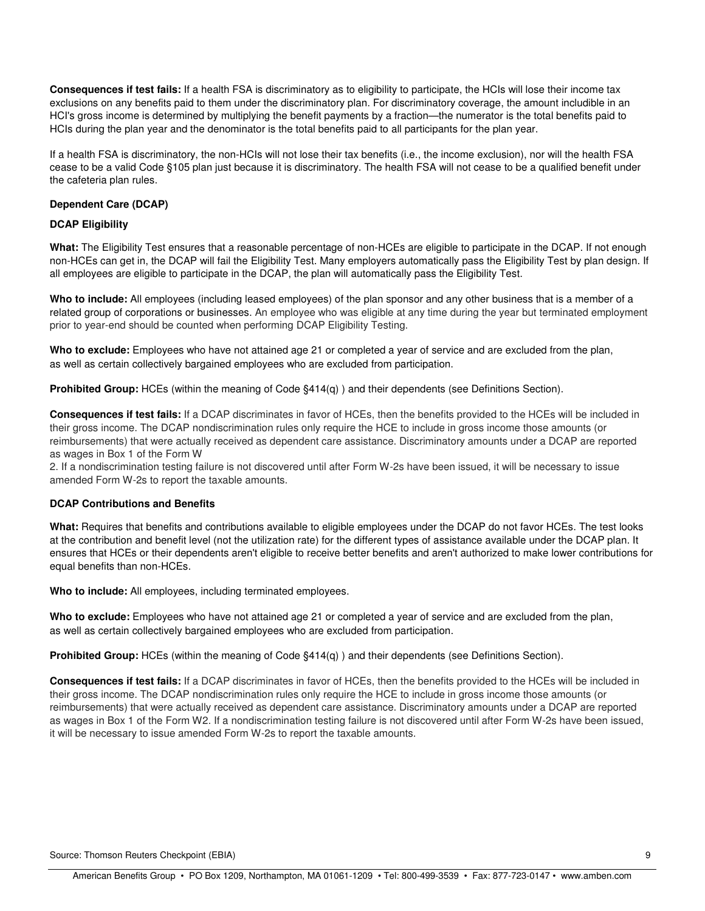**Consequences if test fails:** If a health FSA is discriminatory as to eligibility to participate, the HCIs will lose their income tax exclusions on any benefits paid to them under the discriminatory plan. For discriminatory coverage, the amount includible in an HCI's gross income is determined by multiplying the benefit payments by a fraction—the numerator is the total benefits paid to HCIs during the plan year and the denominator is the total benefits paid to all participants for the plan year.

If a health FSA is discriminatory, the non-HCIs will not lose their tax benefits (i.e., the income exclusion), nor will the health FSA cease to be a valid Code §105 plan just because it is discriminatory. The health FSA will not cease to be a qualified benefit under the cafeteria plan rules.

# **Dependent Care (DCAP)**

# **DCAP Eligibility**

**What:** The Eligibility Test ensures that a reasonable percentage of non-HCEs are eligible to participate in the DCAP. If not enough non-HCEs can get in, the DCAP will fail the Eligibility Test. Many employers automatically pass the Eligibility Test by plan design. If all employees are eligible to participate in the DCAP, the plan will automatically pass the Eligibility Test.

**Who to include:** All employees (including leased employees) of the plan sponsor and any other business that is a member of a related group of corporations or businesses. An employee who was eligible at any time during the year but terminated employment prior to year-end should be counted when performing DCAP Eligibility Testing.

**Who to exclude:** Employees who have not attained age 21 or completed a year of service and are excluded from the plan, as well as certain collectively bargained employees who are excluded from participation.

**Prohibited Group:** HCEs (within the meaning of Code §414(g)) and their dependents (see Definitions Section).

**Consequences if test fails:** If a DCAP discriminates in favor of HCEs, then the benefits provided to the HCEs will be included in their gross income. The DCAP nondiscrimination rules only require the HCE to include in gross income those amounts (or reimbursements) that were actually received as dependent care assistance. Discriminatory amounts under a DCAP are reported as wages in Box 1 of the Form W

2. If a nondiscrimination testing failure is not discovered until after Form W-2s have been issued, it will be necessary to issue amended Form W-2s to report the taxable amounts.

#### **DCAP Contributions and Benefits**

**What:** Requires that benefits and contributions available to eligible employees under the DCAP do not favor HCEs. The test looks at the contribution and benefit level (not the utilization rate) for the different types of assistance available under the DCAP plan. It ensures that HCEs or their dependents aren't eligible to receive better benefits and aren't authorized to make lower contributions for equal benefits than non-HCEs.

**Who to include:** All employees, including terminated employees.

**Who to exclude:** Employees who have not attained age 21 or completed a year of service and are excluded from the plan, as well as certain collectively bargained employees who are excluded from participation.

**Prohibited Group:** HCEs (within the meaning of Code §414(q) ) and their dependents (see Definitions Section).

**Consequences if test fails:** If a DCAP discriminates in favor of HCEs, then the benefits provided to the HCEs will be included in their gross income. The DCAP nondiscrimination rules only require the HCE to include in gross income those amounts (or reimbursements) that were actually received as dependent care assistance. Discriminatory amounts under a DCAP are reported as wages in Box 1 of the Form W2. If a nondiscrimination testing failure is not discovered until after Form W-2s have been issued, it will be necessary to issue amended Form W-2s to report the taxable amounts.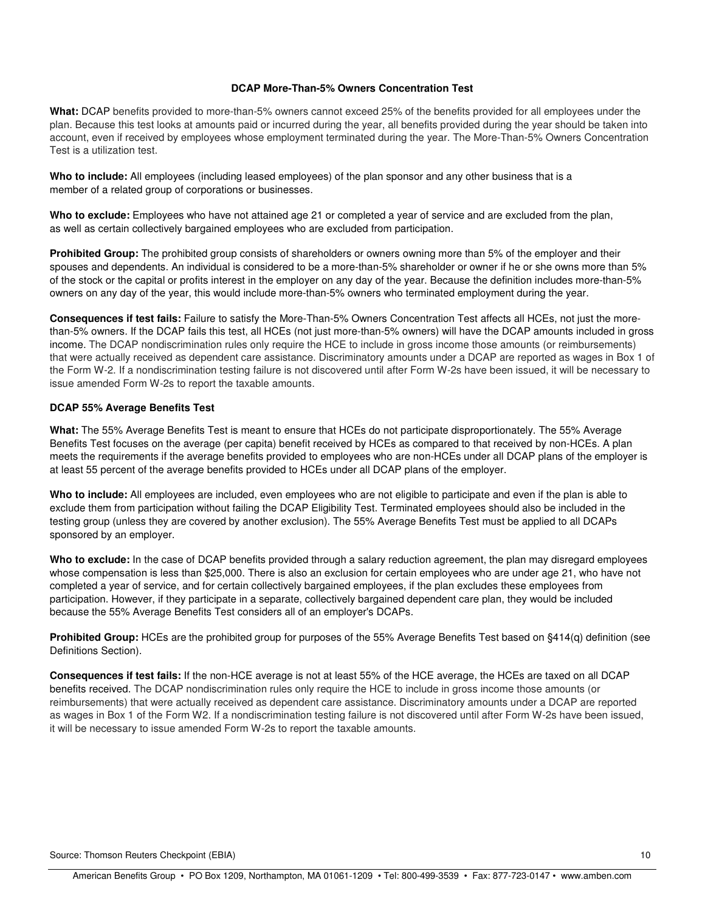#### **DCAP More-Than-5% Owners Concentration Test**

**What:** DCAP benefits provided to more-than-5% owners cannot exceed 25% of the benefits provided for all employees under the plan. Because this test looks at amounts paid or incurred during the year, all benefits provided during the year should be taken into account, even if received by employees whose employment terminated during the year. The More-Than-5% Owners Concentration Test is a utilization test.

**Who to include:** All employees (including leased employees) of the plan sponsor and any other business that is a member of a related group of corporations or businesses.

**Who to exclude:** Employees who have not attained age 21 or completed a year of service and are excluded from the plan, as well as certain collectively bargained employees who are excluded from participation.

**Prohibited Group:** The prohibited group consists of shareholders or owners owning more than 5% of the employer and their spouses and dependents. An individual is considered to be a more-than-5% shareholder or owner if he or she owns more than 5% of the stock or the capital or profits interest in the employer on any day of the year. Because the definition includes more-than-5% owners on any day of the year, this would include more-than-5% owners who terminated employment during the year.

**Consequences if test fails:** Failure to satisfy the More-Than-5% Owners Concentration Test affects all HCEs, not just the morethan-5% owners. If the DCAP fails this test, all HCEs (not just more-than-5% owners) will have the DCAP amounts included in gross income. The DCAP nondiscrimination rules only require the HCE to include in gross income those amounts (or reimbursements) that were actually received as dependent care assistance. Discriminatory amounts under a DCAP are reported as wages in Box 1 of the Form W-2. If a nondiscrimination testing failure is not discovered until after Form W-2s have been issued, it will be necessary to issue amended Form W-2s to report the taxable amounts.

# **DCAP 55% Average Benefits Test**

**What:** The 55% Average Benefits Test is meant to ensure that HCEs do not participate disproportionately. The 55% Average Benefits Test focuses on the average (per capita) benefit received by HCEs as compared to that received by non-HCEs. A plan meets the requirements if the average benefits provided to employees who are non-HCEs under all DCAP plans of the employer is at least 55 percent of the average benefits provided to HCEs under all DCAP plans of the employer.

**Who to include:** All employees are included, even employees who are not eligible to participate and even if the plan is able to exclude them from participation without failing the DCAP Eligibility Test. Terminated employees should also be included in the testing group (unless they are covered by another exclusion). The 55% Average Benefits Test must be applied to all DCAPs sponsored by an employer.

Who to exclude: In the case of DCAP benefits provided through a salary reduction agreement, the plan may disregard employees whose compensation is less than \$25,000. There is also an exclusion for certain employees who are under age 21, who have not completed a year of service, and for certain collectively bargained employees, if the plan excludes these employees from participation. However, if they participate in a separate, collectively bargained dependent care plan, they would be included because the 55% Average Benefits Test considers all of an employer's DCAPs.

**Prohibited Group:** HCEs are the prohibited group for purposes of the 55% Average Benefits Test based on §414(q) definition (see Definitions Section).

**Consequences if test fails:** If the non-HCE average is not at least 55% of the HCE average, the HCEs are taxed on all DCAP benefits received. The DCAP nondiscrimination rules only require the HCE to include in gross income those amounts (or reimbursements) that were actually received as dependent care assistance. Discriminatory amounts under a DCAP are reported as wages in Box 1 of the Form W2. If a nondiscrimination testing failure is not discovered until after Form W-2s have been issued, it will be necessary to issue amended Form W-2s to report the taxable amounts.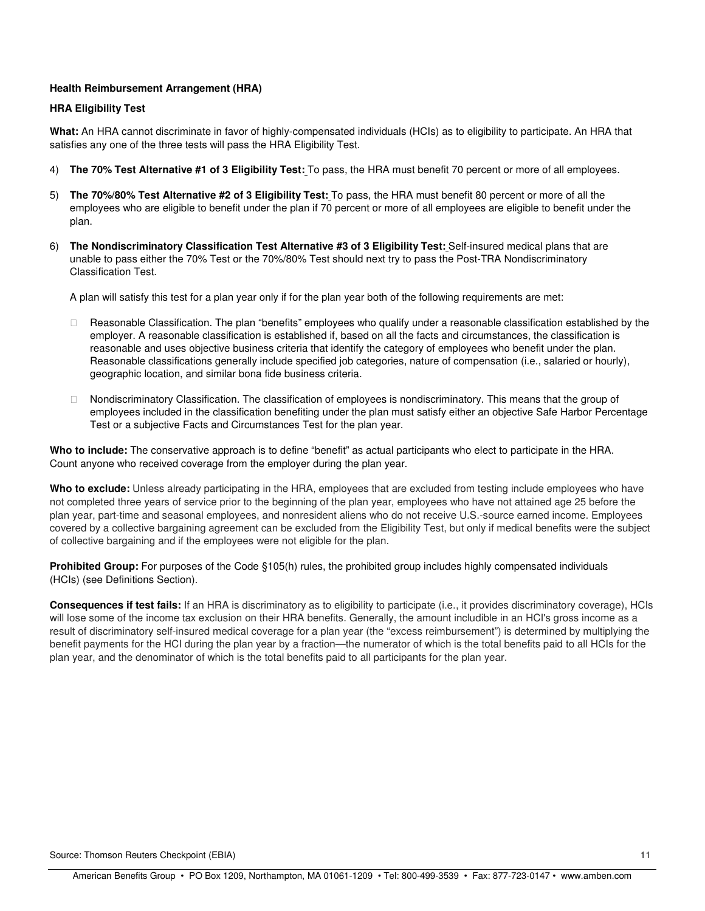# **Health Reimbursement Arrangement (HRA)**

#### **HRA Eligibility Test**

**What:** An HRA cannot discriminate in favor of highly-compensated individuals (HCIs) as to eligibility to participate. An HRA that satisfies any one of the three tests will pass the HRA Eligibility Test.

- 4) **The 70% Test Alternative #1 of 3 Eligibility Test:** To pass, the HRA must benefit 70 percent or more of all employees.
- 5) **The 70%/80% Test Alternative #2 of 3 Eligibility Test:** To pass, the HRA must benefit 80 percent or more of all the employees who are eligible to benefit under the plan if 70 percent or more of all employees are eligible to benefit under the plan.
- 6) **The Nondiscriminatory Classification Test Alternative #3 of 3 Eligibility Test:** Self-insured medical plans that are unable to pass either the 70% Test or the 70%/80% Test should next try to pass the Post-TRA Nondiscriminatory Classification Test.

A plan will satisfy this test for a plan year only if for the plan year both of the following requirements are met:

 Reasonable Classification. The plan "benefits" employees who qualify under a reasonable classification established by the employer. A reasonable classification is established if, based on all the facts and circumstances, the classification is reasonable and uses objective business criteria that identify the category of employees who benefit under the plan. Reasonable classifications generally include specified job categories, nature of compensation (i.e., salaried or hourly), geographic location, and similar bona fide business criteria.

 Nondiscriminatory Classification. The classification of employees is nondiscriminatory. This means that the group of employees included in the classification benefiting under the plan must satisfy either an objective Safe Harbor Percentage Test or a subjective Facts and Circumstances Test for the plan year.

**Who to include:** The conservative approach is to define "benefit" as actual participants who elect to participate in the HRA. Count anyone who received coverage from the employer during the plan year.

**Who to exclude:** Unless already participating in the HRA, employees that are excluded from testing include employees who have not completed three years of service prior to the beginning of the plan year, employees who have not attained age 25 before the plan year, part-time and seasonal employees, and nonresident aliens who do not receive U.S.-source earned income. Employees covered by a collective bargaining agreement can be excluded from the Eligibility Test, but only if medical benefits were the subject of collective bargaining and if the employees were not eligible for the plan.

**Prohibited Group:** For purposes of the Code §105(h) rules, the prohibited group includes highly compensated individuals (HCIs) (see Definitions Section).

**Consequences if test fails:** If an HRA is discriminatory as to eligibility to participate (i.e., it provides discriminatory coverage), HCIs will lose some of the income tax exclusion on their HRA benefits. Generally, the amount includible in an HCI's gross income as a result of discriminatory self-insured medical coverage for a plan year (the "excess reimbursement") is determined by multiplying the benefit payments for the HCI during the plan year by a fraction—the numerator of which is the total benefits paid to all HCIs for the plan year, and the denominator of which is the total benefits paid to all participants for the plan year.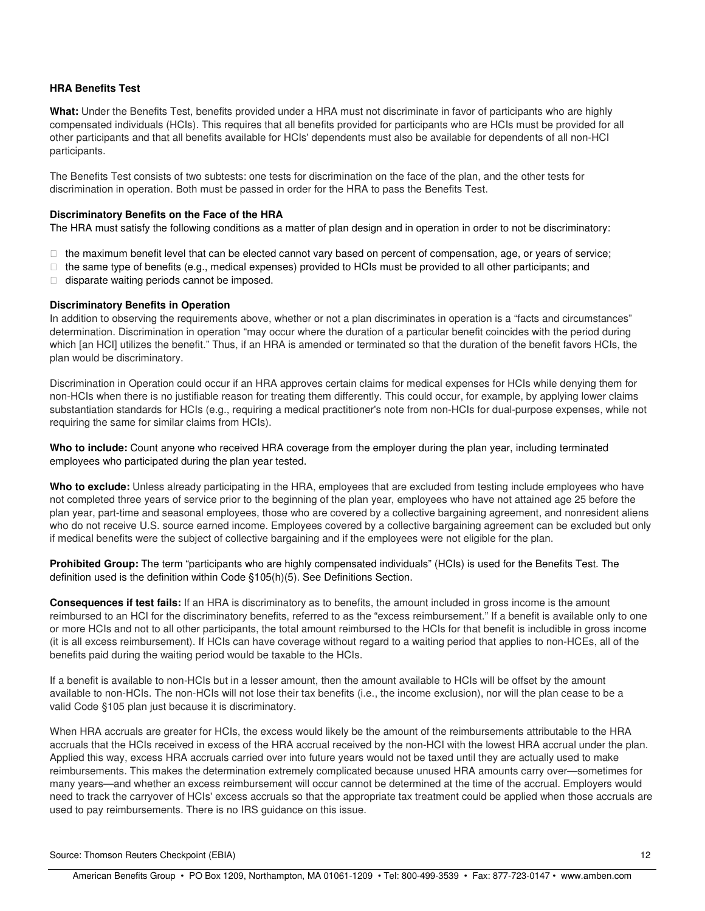# **HRA Benefits Test**

**What:** Under the Benefits Test, benefits provided under a HRA must not discriminate in favor of participants who are highly compensated individuals (HCIs). This requires that all benefits provided for participants who are HCIs must be provided for all other participants and that all benefits available for HCIs' dependents must also be available for dependents of all non-HCI participants.

The Benefits Test consists of two subtests: one tests for discrimination on the face of the plan, and the other tests for discrimination in operation. Both must be passed in order for the HRA to pass the Benefits Test.

#### **Discriminatory Benefits on the Face of the HRA**

The HRA must satisfy the following conditions as a matter of plan design and in operation in order to not be discriminatory:

 the maximum benefit level that can be elected cannot vary based on percent of compensation, age, or years of service; the same type of benefits (e.g., medical expenses) provided to HCIs must be provided to all other participants; and disparate waiting periods cannot be imposed.

#### **Discriminatory Benefits in Operation**

In addition to observing the requirements above, whether or not a plan discriminates in operation is a "facts and circumstances" determination. Discrimination in operation "may occur where the duration of a particular benefit coincides with the period during which [an HCI] utilizes the benefit." Thus, if an HRA is amended or terminated so that the duration of the benefit favors HCIs, the plan would be discriminatory.

Discrimination in Operation could occur if an HRA approves certain claims for medical expenses for HCIs while denying them for non-HCIs when there is no justifiable reason for treating them differently. This could occur, for example, by applying lower claims substantiation standards for HCIs (e.g., requiring a medical practitioner's note from non-HCIs for dual-purpose expenses, while not requiring the same for similar claims from HCIs).

**Who to include:** Count anyone who received HRA coverage from the employer during the plan year, including terminated employees who participated during the plan year tested.

**Who to exclude:** Unless already participating in the HRA, employees that are excluded from testing include employees who have not completed three years of service prior to the beginning of the plan year, employees who have not attained age 25 before the plan year, part-time and seasonal employees, those who are covered by a collective bargaining agreement, and nonresident aliens who do not receive U.S. source earned income. Employees covered by a collective bargaining agreement can be excluded but only if medical benefits were the subject of collective bargaining and if the employees were not eligible for the plan.

**Prohibited Group:** The term "participants who are highly compensated individuals" (HCIs) is used for the Benefits Test. The definition used is the definition within Code §105(h)(5). See Definitions Section.

**Consequences if test fails:** If an HRA is discriminatory as to benefits, the amount included in gross income is the amount reimbursed to an HCI for the discriminatory benefits, referred to as the "excess reimbursement." If a benefit is available only to one or more HCIs and not to all other participants, the total amount reimbursed to the HCIs for that benefit is includible in gross income (it is all excess reimbursement). If HCIs can have coverage without regard to a waiting period that applies to non-HCEs, all of the benefits paid during the waiting period would be taxable to the HCIs.

If a benefit is available to non-HCIs but in a lesser amount, then the amount available to HCIs will be offset by the amount available to non-HCIs. The non-HCIs will not lose their tax benefits (i.e., the income exclusion), nor will the plan cease to be a valid Code §105 plan just because it is discriminatory.

When HRA accruals are greater for HCIs, the excess would likely be the amount of the reimbursements attributable to the HRA accruals that the HCIs received in excess of the HRA accrual received by the non-HCI with the lowest HRA accrual under the plan. Applied this way, excess HRA accruals carried over into future years would not be taxed until they are actually used to make reimbursements. This makes the determination extremely complicated because unused HRA amounts carry over—sometimes for many years—and whether an excess reimbursement will occur cannot be determined at the time of the accrual. Employers would need to track the carryover of HCIs' excess accruals so that the appropriate tax treatment could be applied when those accruals are used to pay reimbursements. There is no IRS guidance on this issue.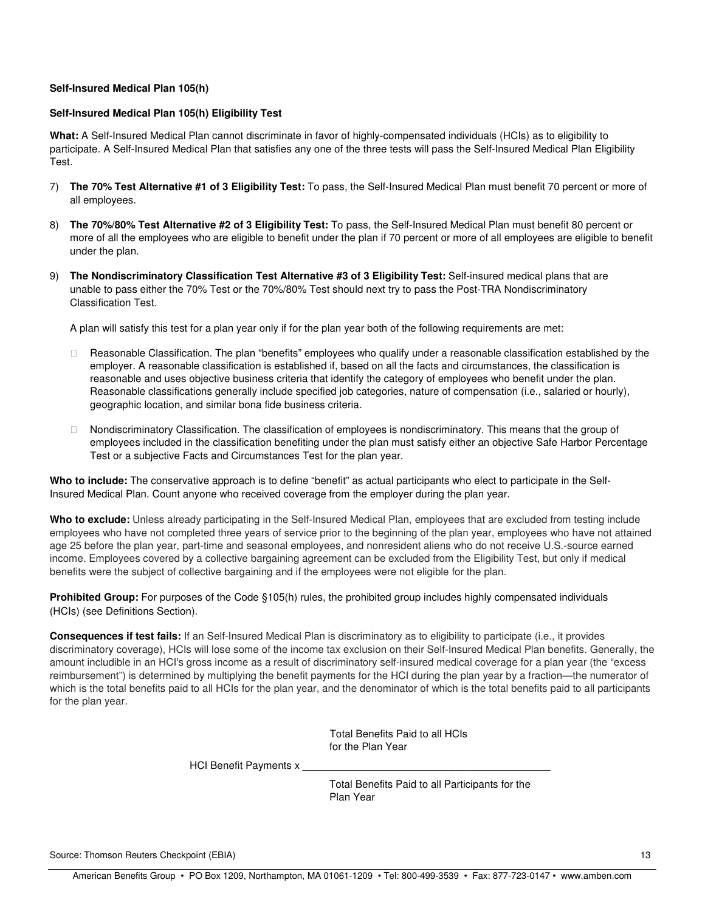#### **Self-Insured Medical Plan 105(h)**

# **Self-Insured Medical Plan 105(h) Eligibility Test**

**What:** A Self-Insured Medical Plan cannot discriminate in favor of highly-compensated individuals (HCIs) as to eligibility to participate. A Self-Insured Medical Plan that satisfies any one of the three tests will pass the Self-Insured Medical Plan Eligibility Test.

- 7) **The 70% Test Alternative #1 of 3 Eligibility Test:** To pass, the Self-Insured Medical Plan must benefit 70 percent or more of all employees.
- 8) **The 70%/80% Test Alternative #2 of 3 Eligibility Test:** To pass, the Self-Insured Medical Plan must benefit 80 percent or more of all the employees who are eligible to benefit under the plan if 70 percent or more of all employees are eligible to benefit under the plan.
- 9) **The Nondiscriminatory Classification Test Alternative #3 of 3 Eligibility Test:** Self-insured medical plans that are unable to pass either the 70% Test or the 70%/80% Test should next try to pass the Post-TRA Nondiscriminatory Classification Test.

A plan will satisfy this test for a plan year only if for the plan year both of the following requirements are met:

 Reasonable Classification. The plan "benefits" employees who qualify under a reasonable classification established by the employer. A reasonable classification is established if, based on all the facts and circumstances, the classification is reasonable and uses objective business criteria that identify the category of employees who benefit under the plan. Reasonable classifications generally include specified job categories, nature of compensation (i.e., salaried or hourly), geographic location, and similar bona fide business criteria.

 Nondiscriminatory Classification. The classification of employees is nondiscriminatory. This means that the group of employees included in the classification benefiting under the plan must satisfy either an objective Safe Harbor Percentage Test or a subjective Facts and Circumstances Test for the plan year.

**Who to include:** The conservative approach is to define "benefit" as actual participants who elect to participate in the Self-Insured Medical Plan. Count anyone who received coverage from the employer during the plan year.

**Who to exclude:** Unless already participating in the Self-Insured Medical Plan, employees that are excluded from testing include employees who have not completed three years of service prior to the beginning of the plan year, employees who have not attained age 25 before the plan year, part-time and seasonal employees, and nonresident aliens who do not receive U.S.-source earned income. Employees covered by a collective bargaining agreement can be excluded from the Eligibility Test, but only if medical benefits were the subject of collective bargaining and if the employees were not eligible for the plan.

**Prohibited Group:** For purposes of the Code §105(h) rules, the prohibited group includes highly compensated individuals (HCIs) (see Definitions Section).

**Consequences if test fails:** If an Self-Insured Medical Plan is discriminatory as to eligibility to participate (i.e., it provides discriminatory coverage), HCIs will lose some of the income tax exclusion on their Self-Insured Medical Plan benefits. Generally, the amount includible in an HCI's gross income as a result of discriminatory self-insured medical coverage for a plan year (the "excess reimbursement") is determined by multiplying the benefit payments for the HCI during the plan year by a fraction—the numerator of which is the total benefits paid to all HCIs for the plan year, and the denominator of which is the total benefits paid to all participants for the plan year.

> Total Benefits Paid to all HCIs for the Plan Year

HCI Benefit Payments x

Total Benefits Paid to all Participants for the Plan Year

Source: Thomson Reuters Checkpoint (EBIA) 13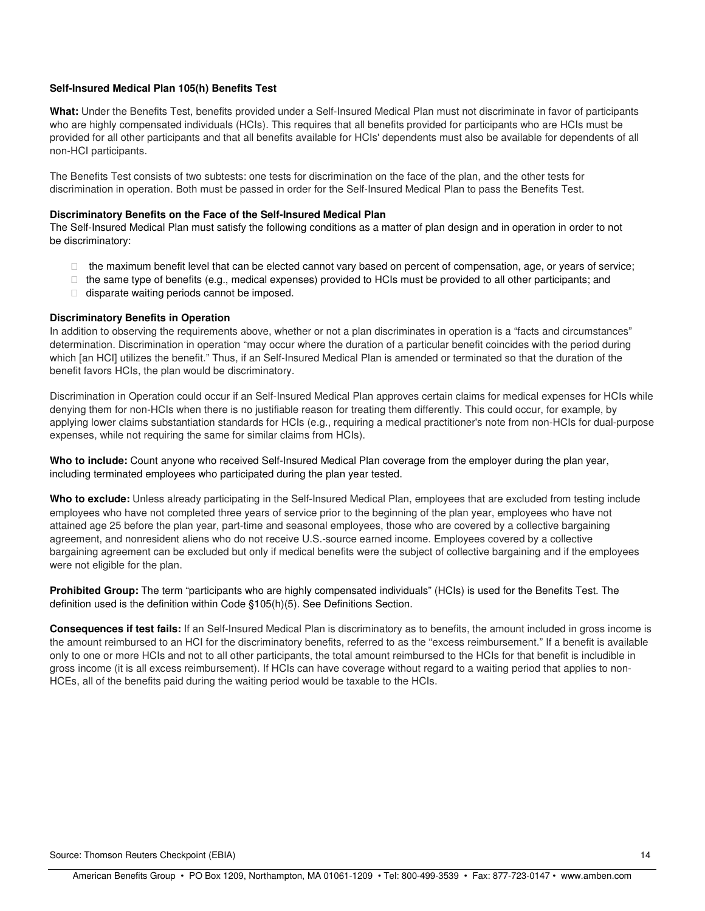#### **Self-Insured Medical Plan 105(h) Benefits Test**

**What:** Under the Benefits Test, benefits provided under a Self-Insured Medical Plan must not discriminate in favor of participants who are highly compensated individuals (HCIs). This requires that all benefits provided for participants who are HCIs must be provided for all other participants and that all benefits available for HCIs' dependents must also be available for dependents of all non-HCI participants.

The Benefits Test consists of two subtests: one tests for discrimination on the face of the plan, and the other tests for discrimination in operation. Both must be passed in order for the Self-Insured Medical Plan to pass the Benefits Test.

#### **Discriminatory Benefits on the Face of the Self-Insured Medical Plan**

The Self-Insured Medical Plan must satisfy the following conditions as a matter of plan design and in operation in order to not be discriminatory:

 the maximum benefit level that can be elected cannot vary based on percent of compensation, age, or years of service; the same type of benefits (e.g., medical expenses) provided to HCIs must be provided to all other participants; and disparate waiting periods cannot be imposed.

#### **Discriminatory Benefits in Operation**

In addition to observing the requirements above, whether or not a plan discriminates in operation is a "facts and circumstances" determination. Discrimination in operation "may occur where the duration of a particular benefit coincides with the period during which [an HCI] utilizes the benefit." Thus, if an Self-Insured Medical Plan is amended or terminated so that the duration of the benefit favors HCIs, the plan would be discriminatory.

Discrimination in Operation could occur if an Self-Insured Medical Plan approves certain claims for medical expenses for HCIs while denying them for non-HCIs when there is no justifiable reason for treating them differently. This could occur, for example, by applying lower claims substantiation standards for HCIs (e.g., requiring a medical practitioner's note from non-HCIs for dual-purpose expenses, while not requiring the same for similar claims from HCIs).

**Who to include:** Count anyone who received Self-Insured Medical Plan coverage from the employer during the plan year, including terminated employees who participated during the plan year tested.

**Who to exclude:** Unless already participating in the Self-Insured Medical Plan, employees that are excluded from testing include employees who have not completed three years of service prior to the beginning of the plan year, employees who have not attained age 25 before the plan year, part-time and seasonal employees, those who are covered by a collective bargaining agreement, and nonresident aliens who do not receive U.S.-source earned income. Employees covered by a collective bargaining agreement can be excluded but only if medical benefits were the subject of collective bargaining and if the employees were not eligible for the plan.

**Prohibited Group:** The term "participants who are highly compensated individuals" (HCIs) is used for the Benefits Test. The definition used is the definition within Code §105(h)(5). See Definitions Section.

**Consequences if test fails:** If an Self-Insured Medical Plan is discriminatory as to benefits, the amount included in gross income is the amount reimbursed to an HCI for the discriminatory benefits, referred to as the "excess reimbursement." If a benefit is available only to one or more HCIs and not to all other participants, the total amount reimbursed to the HCIs for that benefit is includible in gross income (it is all excess reimbursement). If HCIs can have coverage without regard to a waiting period that applies to non-HCEs, all of the benefits paid during the waiting period would be taxable to the HCIs.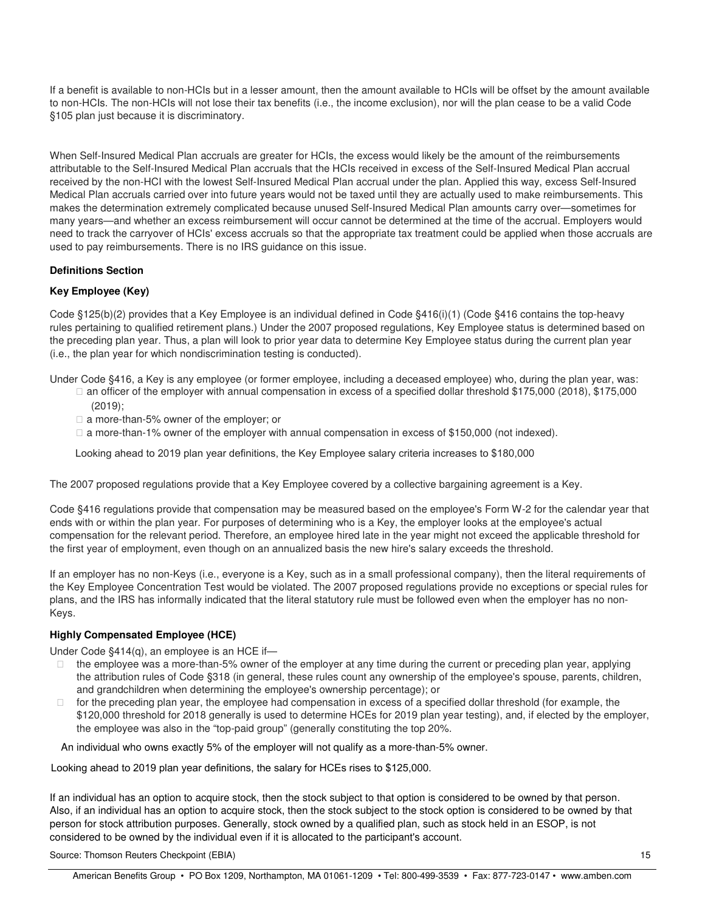If a benefit is available to non-HCIs but in a lesser amount, then the amount available to HCIs will be offset by the amount available to non-HCIs. The non-HCIs will not lose their tax benefits (i.e., the income exclusion), nor will the plan cease to be a valid Code §105 plan just because it is discriminatory.

When Self-Insured Medical Plan accruals are greater for HCIs, the excess would likely be the amount of the reimbursements attributable to the Self-Insured Medical Plan accruals that the HCIs received in excess of the Self-Insured Medical Plan accrual received by the non-HCI with the lowest Self-Insured Medical Plan accrual under the plan. Applied this way, excess Self-Insured Medical Plan accruals carried over into future years would not be taxed until they are actually used to make reimbursements. This makes the determination extremely complicated because unused Self-Insured Medical Plan amounts carry over—sometimes for many years—and whether an excess reimbursement will occur cannot be determined at the time of the accrual. Employers would need to track the carryover of HCIs' excess accruals so that the appropriate tax treatment could be applied when those accruals are used to pay reimbursements. There is no IRS guidance on this issue.

# **Definitions Section**

# **Key Employee (Key)**

Code §125(b)(2) provides that a Key Employee is an individual defined in Code §416(i)(1) (Code §416 contains the top-heavy rules pertaining to qualified retirement plans.) Under the 2007 proposed regulations, Key Employee status is determined based on the preceding plan year. Thus, a plan will look to prior year data to determine Key Employee status during the current plan year (i.e., the plan year for which nondiscrimination testing is conducted).

Under Code §416, a Key is any employee (or former employee, including a deceased employee) who, during the plan year, was: an officer of the employer with annual compensation in excess of a specified dollar threshold \$175,000 (2018), \$175,000

(2019);

a more-than-5% owner of the employer; or

a more-than-1% owner of the employer with annual compensation in excess of \$150,000 (not indexed).

Looking ahead to 2019 plan year definitions, the Key Employee salary criteria increases to \$180,000

The 2007 proposed regulations provide that a Key Employee covered by a collective bargaining agreement is a Key.

Code §416 regulations provide that compensation may be measured based on the employee's Form W-2 for the calendar year that ends with or within the plan year. For purposes of determining who is a Key, the employer looks at the employee's actual compensation for the relevant period. Therefore, an employee hired late in the year might not exceed the applicable threshold for the first year of employment, even though on an annualized basis the new hire's salary exceeds the threshold.

If an employer has no non-Keys (i.e., everyone is a Key, such as in a small professional company), then the literal requirements of the Key Employee Concentration Test would be violated. The 2007 proposed regulations provide no exceptions or special rules for plans, and the IRS has informally indicated that the literal statutory rule must be followed even when the employer has no non-Keys.

#### **Highly Compensated Employee (HCE)**

Under Code §414(q), an employee is an HCE if—

 the employee was a more-than-5% owner of the employer at any time during the current or preceding plan year, applying the attribution rules of Code §318 (in general, these rules count any ownership of the employee's spouse, parents, children, and grandchildren when determining the employee's ownership percentage); or

 for the preceding plan year, the employee had compensation in excess of a specified dollar threshold (for example, the \$120,000 threshold for 2018 generally is used to determine HCEs for 2019 plan year testing), and, if elected by the employer, the employee was also in the "top-paid group" (generally constituting the top 20%.

An individual who owns exactly 5% of the employer will not qualify as a more-than-5% owner.

Looking ahead to 2019 plan year definitions, the salary for HCEs rises to \$125,000.

If an individual has an option to acquire stock, then the stock subject to that option is considered to be owned by that person. Also, if an individual has an option to acquire stock, then the stock subject to the stock option is considered to be owned by that person for stock attribution purposes. Generally, stock owned by a qualified plan, such as stock held in an ESOP, is not considered to be owned by the individual even if it is allocated to the participant's account.

Source: Thomson Reuters Checkpoint (EBIA) 15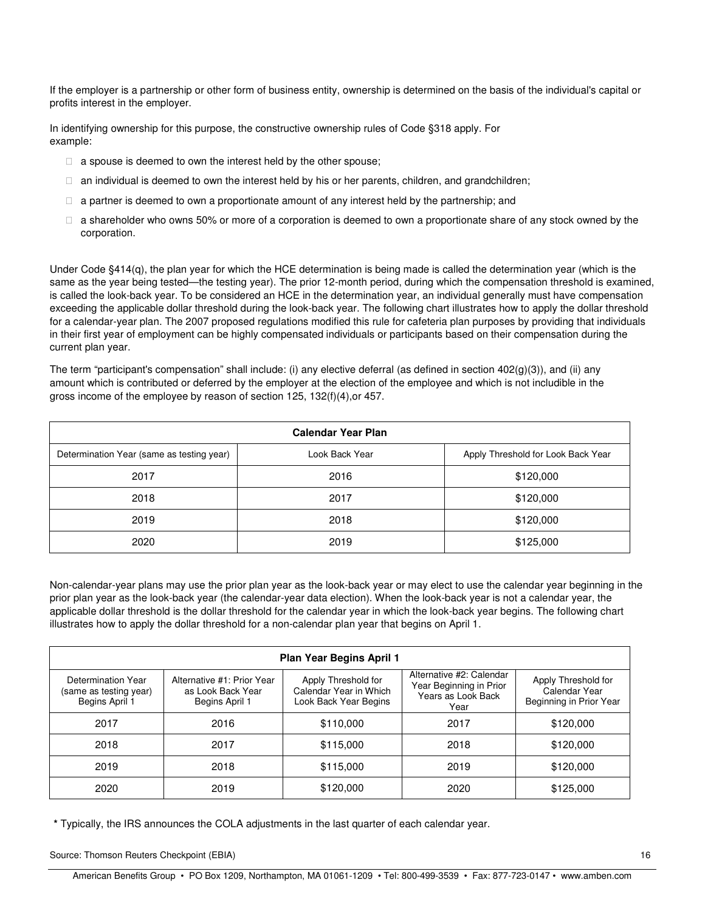If the employer is a partnership or other form of business entity, ownership is determined on the basis of the individual's capital or profits interest in the employer.

In identifying ownership for this purpose, the constructive ownership rules of Code §318 apply. For example:

a spouse is deemed to own the interest held by the other spouse;

an individual is deemed to own the interest held by his or her parents, children, and grandchildren;

a partner is deemed to own a proportionate amount of any interest held by the partnership; and

 a shareholder who owns 50% or more of a corporation is deemed to own a proportionate share of any stock owned by the corporation.

Under Code §414(q), the plan year for which the HCE determination is being made is called the determination year (which is the same as the year being tested—the testing year). The prior 12-month period, during which the compensation threshold is examined, is called the look-back year. To be considered an HCE in the determination year, an individual generally must have compensation exceeding the applicable dollar threshold during the look-back year. The following chart illustrates how to apply the dollar threshold for a calendar-year plan. The 2007 proposed regulations modified this rule for cafeteria plan purposes by providing that individuals in their first year of employment can be highly compensated individuals or participants based on their compensation during the current plan year.

The term "participant's compensation" shall include: (i) any elective deferral (as defined in section 402(g)(3)), and (ii) any amount which is contributed or deferred by the employer at the election of the employee and which is not includible in the gross income of the employee by reason of section 125, 132(f)(4),or 457.

| <b>Calendar Year Plan</b>                 |                |                                    |  |  |  |  |
|-------------------------------------------|----------------|------------------------------------|--|--|--|--|
| Determination Year (same as testing year) | Look Back Year | Apply Threshold for Look Back Year |  |  |  |  |
| 2017                                      | 2016           | \$120,000                          |  |  |  |  |
| 2018                                      | 2017           | \$120,000                          |  |  |  |  |
| 2019                                      | 2018           | \$120,000                          |  |  |  |  |
| 2020                                      | 2019           | \$125,000                          |  |  |  |  |

Non-calendar-year plans may use the prior plan year as the look-back year or may elect to use the calendar year beginning in the prior plan year as the look-back year (the calendar-year data election). When the look-back year is not a calendar year, the applicable dollar threshold is the dollar threshold for the calendar year in which the look-back year begins. The following chart illustrates how to apply the dollar threshold for a non-calendar plan year that begins on April 1.

| Plan Year Begins April 1                                       |                                                                   |                                                                        |                                                                                   |                                                                 |  |  |
|----------------------------------------------------------------|-------------------------------------------------------------------|------------------------------------------------------------------------|-----------------------------------------------------------------------------------|-----------------------------------------------------------------|--|--|
| Determination Year<br>(same as testing year)<br>Begins April 1 | Alternative #1: Prior Year<br>as Look Back Year<br>Begins April 1 | Apply Threshold for<br>Calendar Year in Which<br>Look Back Year Begins | Alternative #2: Calendar<br>Year Beginning in Prior<br>Years as Look Back<br>Year | Apply Threshold for<br>Calendar Year<br>Beginning in Prior Year |  |  |
| 2017                                                           | 2016                                                              | \$110,000                                                              | 2017                                                                              | \$120,000                                                       |  |  |
| 2018                                                           | 2017                                                              | \$115,000                                                              | 2018                                                                              | \$120,000                                                       |  |  |
| 2019                                                           | 2018                                                              | \$115,000                                                              | 2019                                                                              | \$120,000                                                       |  |  |
| 2020                                                           | 2019                                                              | \$120,000                                                              | 2020                                                                              | \$125,000                                                       |  |  |

**\*** Typically, the IRS announces the COLA adjustments in the last quarter of each calendar year.

Source: Thomson Reuters Checkpoint (EBIA) 16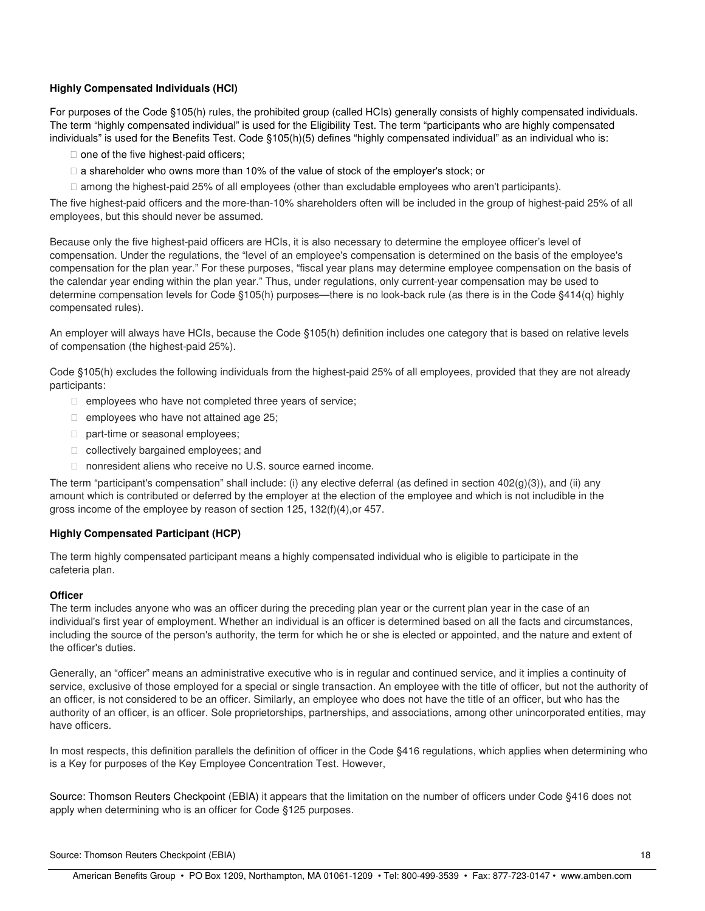# **Highly Compensated Individuals (HCI)**

For purposes of the Code §105(h) rules, the prohibited group (called HCIs) generally consists of highly compensated individuals. The term "highly compensated individual" is used for the Eligibility Test. The term "participants who are highly compensated individuals" is used for the Benefits Test. Code §105(h)(5) defines "highly compensated individual" as an individual who is:

one of the five highest-paid officers;

a shareholder who owns more than 10% of the value of stock of the employer's stock; or

among the highest-paid 25% of all employees (other than excludable employees who aren't participants).

The five highest-paid officers and the more-than-10% shareholders often will be included in the group of highest-paid 25% of all employees, but this should never be assumed.

Because only the five highest-paid officers are HCIs, it is also necessary to determine the employee officer's level of compensation. Under the regulations, the "level of an employee's compensation is determined on the basis of the employee's compensation for the plan year." For these purposes, "fiscal year plans may determine employee compensation on the basis of the calendar year ending within the plan year." Thus, under regulations, only current-year compensation may be used to determine compensation levels for Code §105(h) purposes—there is no look-back rule (as there is in the Code §414(q) highly compensated rules).

An employer will always have HCIs, because the Code §105(h) definition includes one category that is based on relative levels of compensation (the highest-paid 25%).

Code §105(h) excludes the following individuals from the highest-paid 25% of all employees, provided that they are not already participants:

employees who have not completed three years of service;

employees who have not attained age 25;

part-time or seasonal employees;

collectively bargained employees; and

nonresident aliens who receive no U.S. source earned income.

The term "participant's compensation" shall include: (i) any elective deferral (as defined in section 402(g)(3)), and (ii) any amount which is contributed or deferred by the employer at the election of the employee and which is not includible in the gross income of the employee by reason of section 125, 132(f)(4),or 457.

# **Highly Compensated Participant (HCP)**

The term highly compensated participant means a highly compensated individual who is eligible to participate in the cafeteria plan.

# **Officer**

The term includes anyone who was an officer during the preceding plan year or the current plan year in the case of an individual's first year of employment. Whether an individual is an officer is determined based on all the facts and circumstances, including the source of the person's authority, the term for which he or she is elected or appointed, and the nature and extent of the officer's duties.

Generally, an "officer" means an administrative executive who is in regular and continued service, and it implies a continuity of service, exclusive of those employed for a special or single transaction. An employee with the title of officer, but not the authority of an officer, is not considered to be an officer. Similarly, an employee who does not have the title of an officer, but who has the authority of an officer, is an officer. Sole proprietorships, partnerships, and associations, among other unincorporated entities, may have officers.

In most respects, this definition parallels the definition of officer in the Code §416 regulations, which applies when determining who is a Key for purposes of the Key Employee Concentration Test. However,

Source: Thomson Reuters Checkpoint (EBIA) it appears that the limitation on the number of officers under Code §416 does not apply when determining who is an officer for Code §125 purposes.